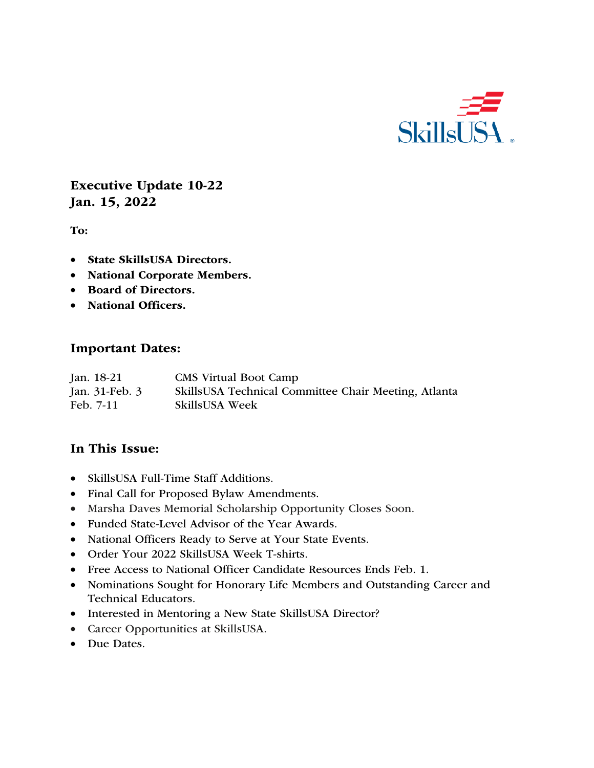

Executive Update 10-22 Jan. 15, 2022

To:

- State SkillsUSA Directors.
- National Corporate Members.
- Board of Directors.
- National Officers.

#### Important Dates:

| Jan. 18-21     | <b>CMS</b> Virtual Boot Camp                         |
|----------------|------------------------------------------------------|
| Jan. 31-Feb. 3 | SkillsUSA Technical Committee Chair Meeting, Atlanta |
| Feb. 7-11      | <b>SkillsUSA Week</b>                                |

### In This Issue:

- SkillsUSA Full-Time Staff Additions.
- Final Call for Proposed Bylaw Amendments.
- Marsha Daves Memorial Scholarship Opportunity Closes Soon.
- Funded State-Level Advisor of the Year Awards.
- National Officers Ready to Serve at Your State Events.
- Order Your 2022 SkillsUSA Week T-shirts.
- Free Access to National Officer Candidate Resources Ends Feb. 1.
- Nominations Sought for Honorary Life Members and Outstanding Career and Technical Educators.
- Interested in Mentoring a New State SkillsUSA Director?
- Career Opportunities at SkillsUSA.
- Due Dates.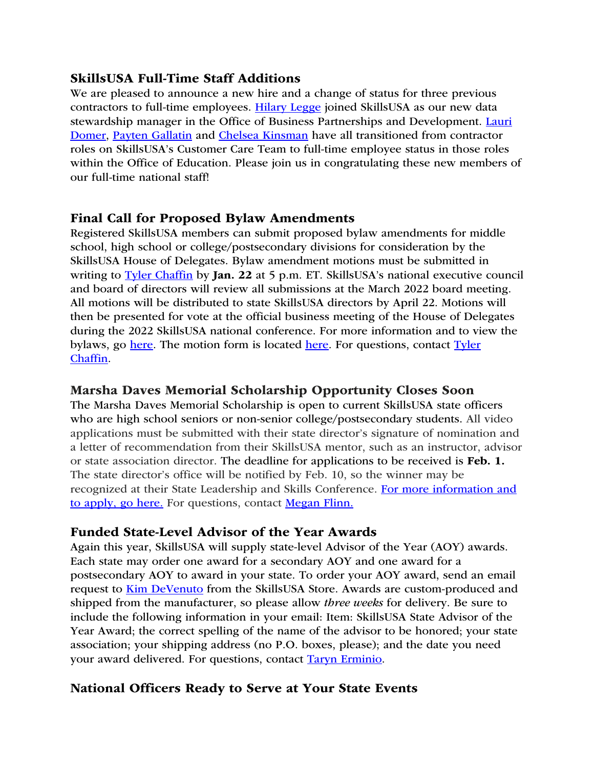## SkillsUSA Full-Time Staff Additions

We are pleased to announce a new hire and a change of status for three previous contractors to full-time employees. Hilary Legge joined SkillsUSA as our new data stewardship manager in the Office of Business Partnerships and Development. Lauri Domer, Payten Gallatin and Chelsea Kinsman have all transitioned from contractor roles on SkillsUSA's Customer Care Team to full-time employee status in those roles within the Office of Education. Please join us in congratulating these new members of our full-time national staff!

## Final Call for Proposed Bylaw Amendments

Registered SkillsUSA members can submit proposed bylaw amendments for middle school, high school or college/postsecondary divisions for consideration by the SkillsUSA House of Delegates. Bylaw amendment motions must be submitted in writing to Tyler Chaffin by Jan. 22 at 5 p.m. ET. SkillsUSA's national executive council and board of directors will review all submissions at the March 2022 board meeting. All motions will be distributed to state SkillsUSA directors by April 22. Motions will then be presented for vote at the official business meeting of the House of Delegates during the 2022 SkillsUSA national conference. For more information and to view the bylaws, go here. The motion form is located here. For questions, contact Tyler Chaffin.

## Marsha Daves Memorial Scholarship Opportunity Closes Soon

The Marsha Daves Memorial Scholarship is open to current SkillsUSA state officers who are high school seniors or non-senior college/postsecondary students. All video applications must be submitted with their state director's signature of nomination and a letter of recommendation from their SkillsUSA mentor, such as an instructor, advisor or state association director. The deadline for applications to be received is Feb. 1. The state director's office will be notified by Feb. 10, so the winner may be recognized at their State Leadership and Skills Conference. For more information and to apply, go here. For questions, contact Megan Flinn.

# Funded State-Level Advisor of the Year Awards

Again this year, SkillsUSA will supply state-level Advisor of the Year (AOY) awards. Each state may order one award for a secondary AOY and one award for a postsecondary AOY to award in your state. To order your AOY award, send an email request to Kim DeVenuto from the SkillsUSA Store. Awards are custom-produced and shipped from the manufacturer, so please allow *three weeks* for delivery. Be sure to include the following information in your email: Item: SkillsUSA State Advisor of the Year Award; the correct spelling of the name of the advisor to be honored; your state association; your shipping address (no P.O. boxes, please); and the date you need your award delivered. For questions, contact Taryn Erminio.

# National Officers Ready to Serve at Your State Events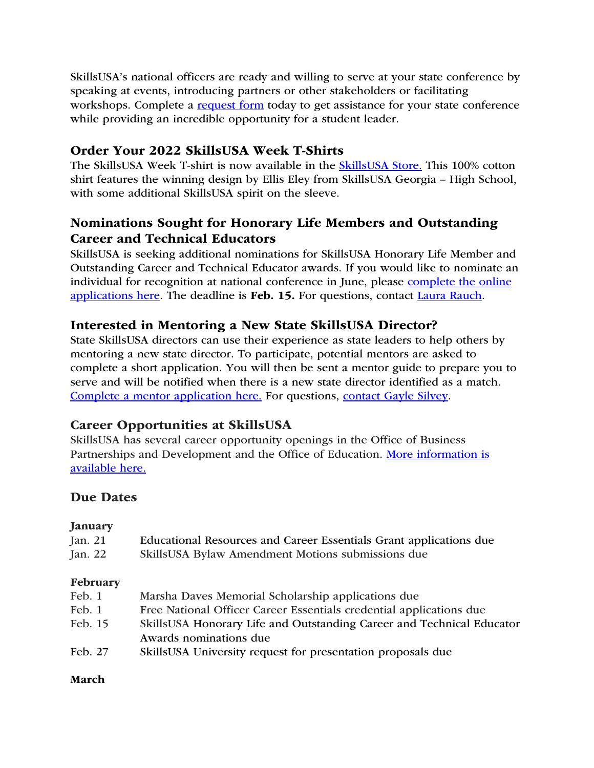SkillsUSA's national officers are ready and willing to serve at your state conference by speaking at events, introducing partners or other stakeholders or facilitating workshops. Complete a request form today to get assistance for your state conference while providing an incredible opportunity for a student leader.

# Order Your 2022 SkillsUSA Week T-Shirts

The SkillsUSA Week T-shirt is now available in the **SkillsUSA Store**. This 100% cotton shirt features the winning design by Ellis Eley from SkillsUSA Georgia – High School, with some additional SkillsUSA spirit on the sleeve.

# Nominations Sought for Honorary Life Members and Outstanding Career and Technical Educators

SkillsUSA is seeking additional nominations for SkillsUSA Honorary Life Member and Outstanding Career and Technical Educator awards. If you would like to nominate an individual for recognition at national conference in June, please complete the online applications here. The deadline is Feb. 15. For questions, contact Laura Rauch.

# Interested in Mentoring a New State SkillsUSA Director?

State SkillsUSA directors can use their experience as state leaders to help others by mentoring a new state director. To participate, potential mentors are asked to complete a short application. You will then be sent a mentor guide to prepare you to serve and will be notified when there is a new state director identified as a match. Complete a mentor application here. For questions, contact Gayle Silvey.

# Career Opportunities at SkillsUSA

SkillsUSA has several career opportunity openings in the Office of Business Partnerships and Development and the Office of Education. More information is available here.

### Due Dates

#### January

| Jan. 21<br>Jan. 22 | Educational Resources and Career Essentials Grant applications due<br>SkillsUSA Bylaw Amendment Motions submissions due |
|--------------------|-------------------------------------------------------------------------------------------------------------------------|
| February           |                                                                                                                         |
| Feb. 1             | Marsha Daves Memorial Scholarship applications due                                                                      |
| Feb. 1             | Free National Officer Career Essentials credential applications due                                                     |
| Feb. 15            | SkillsUSA Honorary Life and Outstanding Career and Technical Educator<br>Awards nominations due                         |
| Feb. 27            | SkillsUSA University request for presentation proposals due                                                             |

#### March